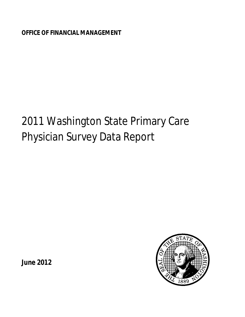**OFFICE OF FINANCIAL MANAGEMENT**

# 2011 Washington State Primary Care Physician Survey Data Report

**June 2012** 

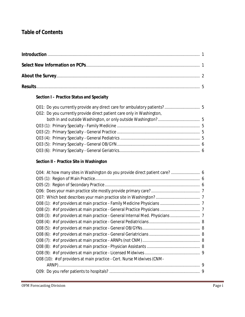# **Table of Contents**

## **Section I – Practice Status and Specialty**

| Q02: Do you currently provide direct patient care only in Washington, |  |
|-----------------------------------------------------------------------|--|
|                                                                       |  |
|                                                                       |  |
|                                                                       |  |
|                                                                       |  |
|                                                                       |  |
|                                                                       |  |
|                                                                       |  |

## **Section II – Practice Site in Washington**

| Q08 (10): # of providers at main practice - Cert. Nurse Midwives (CNM- |   |
|------------------------------------------------------------------------|---|
|                                                                        | 9 |
|                                                                        |   |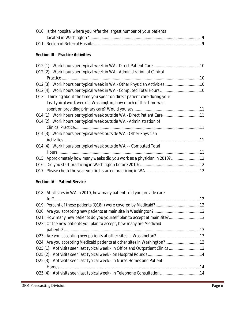| Q10: Is the hospital where you refer the largest number of your patients |  |
|--------------------------------------------------------------------------|--|
|                                                                          |  |
|                                                                          |  |

## **Section III – Practice Activities**

| Q12 (2): Work hours per typical week in WA - Administration of Clinical   |  |
|---------------------------------------------------------------------------|--|
|                                                                           |  |
| Q12 (3): Work hours per typical week in WA - Other Physician Activities10 |  |
| Q12 (4): Work hours per typical week in WA - Computed Total Hours 10      |  |
| Q13: Thinking about the time you spent on direct patient care during your |  |
| last typical work week in Washington, how much of that time was           |  |
|                                                                           |  |
| Q14 (1): Work hours per typical week outside WA - Direct Patient Care 11  |  |
| Q14 (2): Work hours per typical week outside WA - Administration of       |  |
|                                                                           |  |
| Q14 (3): Work hours per typical week outside WA - Other Physician         |  |
|                                                                           |  |
| Q14 (4): Work hours per typical week outside WA - - Computed Total        |  |
|                                                                           |  |
| Q15: Approximately how many weeks did you work as a physician in 2010?12  |  |
|                                                                           |  |
|                                                                           |  |

## **Section IV – Patient Service**

| Q18: At all sites in WA in 2010, how many patients did you provide care        |  |
|--------------------------------------------------------------------------------|--|
|                                                                                |  |
|                                                                                |  |
|                                                                                |  |
| Q21: How many new patients do you yourself plan to accept at main site?13      |  |
| Q22: Of the new patients you plan to accept, how many are Medicaid             |  |
|                                                                                |  |
|                                                                                |  |
|                                                                                |  |
| Q25 (1): # of visits seen last typical week - in Office and Outpatient Clinics |  |
|                                                                                |  |
| Q25 (3): # of visits seen last typical week - in Nurse Homes and Patient       |  |
|                                                                                |  |
| Q25 (4): # of visits seen last typical week - in Telephone Consultation14      |  |

,我们就会在这里,我们就会在这里,我们就会在这里,我们就会在这里,我们就会在这里,我们就会在这里,我们就会在这里,我们就会在这里,我们就会在这里,我们就会在这里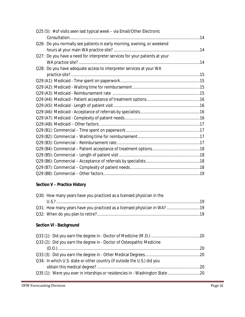| Q25 (5): # of visits seen last typical week – via Email/Other Electronic   |  |
|----------------------------------------------------------------------------|--|
|                                                                            |  |
| Q26: Do you normally see patients in early morning, evening, or weekend    |  |
|                                                                            |  |
| Q27: Do you have a need for interpreter services for your patients at your |  |
|                                                                            |  |
| Q28: Do you have adequate access to interpreter services at your WA        |  |
|                                                                            |  |
|                                                                            |  |
|                                                                            |  |
|                                                                            |  |
|                                                                            |  |
|                                                                            |  |
|                                                                            |  |
|                                                                            |  |
|                                                                            |  |
|                                                                            |  |
|                                                                            |  |
|                                                                            |  |
|                                                                            |  |
|                                                                            |  |
|                                                                            |  |
|                                                                            |  |
|                                                                            |  |

## **Section V – Practice History**

| Q30: How many years have you practiced as a licensed physician in the |  |
|-----------------------------------------------------------------------|--|
|                                                                       |  |
|                                                                       |  |
|                                                                       |  |
|                                                                       |  |

## **Section VI - Background**

| Q33 (2): Did you earn the degree in - Doctor of Osteopathic Medicine    |  |
|-------------------------------------------------------------------------|--|
|                                                                         |  |
|                                                                         |  |
| Q34: In which U.S. state or other country (if outside the U.S.) did you |  |
|                                                                         |  |
|                                                                         |  |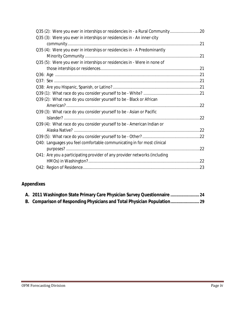| Q35 (2): Were you ever in interships or residencies in - a Rural Community20 |  |
|------------------------------------------------------------------------------|--|
| Q35 (3): Were you ever in interships or residencies in - An inner-city       |  |
|                                                                              |  |
| Q35 (4): Were you ever in interships or residencies in - A Predominantly     |  |
|                                                                              |  |
| Q35 (5): Were you ever in interships or residencies in - Were in none of     |  |
|                                                                              |  |
|                                                                              |  |
|                                                                              |  |
|                                                                              |  |
|                                                                              |  |
| Q39 (2): What race do you consider yourself to be - Black or African         |  |
|                                                                              |  |
| Q39 (3): What race do you consider yourself to be - Asian or Pacific         |  |
|                                                                              |  |
| Q39 (4): What race do you consider yourself to be - American Indian or       |  |
|                                                                              |  |
|                                                                              |  |
| Q40: Languages you feel comfortable communicating in for most clinical       |  |
|                                                                              |  |
| Q41: Are you a participating provider of any provider networks (including    |  |
|                                                                              |  |
|                                                                              |  |
|                                                                              |  |

# **Appendixes**

| A. 2011 Washington State Primary Care Physician Survey Questionnaire  24 |  |
|--------------------------------------------------------------------------|--|
| B. Comparison of Responding Physicians and Total Physician Population 29 |  |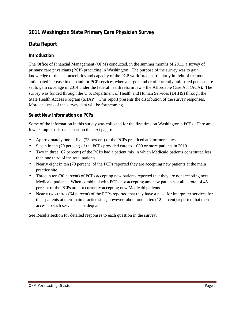# **2011 Washington State Primary Care Physician Survey**

# **Data Report**

## **Introduction**

The Office of Financial Management (OFM) conducted, in the summer months of 2011, a survey of primary care physicians (PCP) practicing in Washington. The purpose of the survey was to gain knowledge of the characteristics and capacity of the PCP workforce, particularly in light of the much anticipated increase in demand for PCP services when a large number of currently uninsured persons are set to gain coverage in 2014 under the federal health reform law – the Affordable Care Act (ACA). The survey was funded through the U.S. Department of Health and Human Services (DHHS) through the State Health Access Program (SHAP). This report presents the distribution of the survey responses. More analyses of the survey data will be forthcoming.

## **Select New Information on PCPs**

Some of the information in this survey was collected for the first time on Washington's PCPs. Here are a few examples (also see chart on the next page):

- Approximately one in five (23 percent) of the PCPs practiced at 2 or more sites.
- Seven in ten (70 percent) of the PCPs provided care to 1,000 or more patients in 2010.
- Two in three (67 percent) of the PCPs had a patient mix in which Medicaid patients constituted less than one third of the total patients.
- Nearly eight in ten (79 percent) of the PCPs reported they are accepting new patients at the main practice site.
- $\mathcal{L}^{\mathcal{L}}$ Three in ten (30 percent) of PCPs accepting new patients reported that they are not accepting new Medicaid patients. When combined with PCPs not accepting any new patients at all, a total of 45 percent of the PCPs are not currently accepting new Medicaid patients.
- Nearly two-thirds (64 percent) of the PCPs reported that they have a need for interpreter services for their patients at their main practice sites; however; about one in ten (12 percent) reported that their access to such services is inadequate.

See Results section for detailed responses to each question in the survey.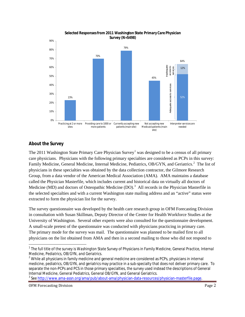

#### **Selected Responses from 2011 Washington State Primary Care Physician Survey (N=5498)**

## **About the Survey**

The 20[1](#page-6-0)1 Washington State Primary Care Physician Survey<sup>1</sup> was designed to be a census of all primary care physicians. Physicians with the following primary specialties are considered as PCPs in this survey: Family Medicine, General Medicine, Internal Medicine, Pediatrics, OB/GYN, and Geriatrics.<sup>[2](#page-6-1)</sup> The list of physicians in these specialties was obtained by the data collection contractor, the Gilmore Research Group, from a data vendor of the American Medical Association (AMA). AMA maintains a database called the Physician Masterfile, which includes current and historical data on virtually all doctors of Medicine (MD) and doctors of Osteopathic Medicine (DO).<sup>[3](#page-6-2)</sup> All records in the Physician Masterfile in the selected specialties and with a current Washington state mailing address and an "active" status were extracted to form the physician list for the survey.

The survey questionnaire was developed by the health care research group in OFM Forecasting Division in consultation with Susan Skillman, Deputy Director of the Center for Health Workforce Studies at the University of Washington. Several other experts were also consulted for the questionnaire development. A small-scale pretest of the questionnaire was conducted with physicians practicing in primary care. The primary mode for the survey was mail. The questionnaire was planned to be mailed first to all physicians on the list obtained from AMA and then in a second mailing to those who did not respond to

 $\overline{\phantom{a}}$ 

<span id="page-6-0"></span><sup>&</sup>lt;sup>1</sup> The full title of the survey is *Washington State Survey of Physicians in Family Medicine, General Practice, Internal Medicine, Pediatrics, OB/GYN, and Geriatrics.*<br><sup>2</sup> While all physicians in family medicine and general medicine are considered as PCPs, physicians in internal

<span id="page-6-1"></span>medicine, pediatrics, OB/GYN, and geriatrics may practice in a sub-specialty that does not deliver primary care. To separate the non-PCPs and PCS in those primary specialties, the survey used instead the descriptions of General Internal Medicine, General Pediatrics, General OB/GYN, and General Geriatrics.

<span id="page-6-2"></span><sup>&</sup>lt;sup>3</sup> See <u>http://www.ama-assn.orq/ama/pub/about-ama/physician-data-resources/physician-masterfile.page</u>.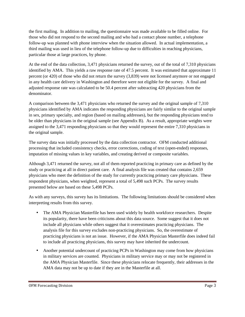the first mailing. In addition to mailing, the questionnaire was made available to be filled online. For those who did not respond to the second mailing and who had a contact phone number, a telephone follow-up was planned with phone interview when the situation allowed. In actual implementation, a third mailing was used in lieu of the telephone follow-up due to difficulties in reaching physicians, particular those at large practices, by phone.

At the end of the data collection, 3,471 physicians returned the survey, out of the total of 7,310 physicians identified by AMA. This yields a raw response rate of 47.5 percent. It was estimated that approximate 11 percent (or 420) of those who did not return the survey (3,839) were not licensed anymore or not engaged in any health care delivery in Washington and therefore were not eligible for the survey. A final and adjusted response rate was calculated to be 50.4 percent after subtracting 420 physicians from the denominator.

A comparison between the 3,471 physicians who returned the survey and the original sample of 7,310 physicians identified by AMA indicates the responding physicians are fairly similar to the original sample in sex, primary specialty, and region (based on mailing addresses), but the responding physicians tend to be older than physicians in the original sample (see Appendix B). As a result, appropriate weights were assigned to the 3,471 responding physicians so that they would represent the entire 7,310 physicians in the original sample.

The survey data was initially processed by the data collection contractor. OFM conducted additional processing that included consistency checks, error corrections, coding of text (open-ended) responses, imputation of missing values in key variables, and creating derived or composite variables.

Although 3,471 returned the survey, not all of them reported practicing in primary care as defined by the study or practicing at all in direct patient care. A final analysis file was created that contains 2,659 physicians who meet the definition of the study for currently practicing primary care physicians. These respondent physicians, when weighted, represent a total of 5,498 such PCPs. The survey results presented below are based on these 5,498 PCPs.

As with any surveys, this survey has its limitations. The following limitations should be considered when interpreting results from this survey.

- The AMA Physician Masterfile has been used widely by health workforce researchers. Despite its popularity, there have been criticisms about this data source. Some suggest that it does not include all physicians while others suggest that it overestimates practicing physicians. The analysis file for this survey excludes non-practicing physicians. So, the overestimate of practicing physicians is not an issue. However, if the AMA Physician Masterfile does indeed fail to include all practicing physicians, this survey may have inherited the undercount.
- Another potential undercount of practicing PCPs in Washington may come from how physicians  $\mathcal{L}^{\pm}$ in military services are counted. Physicians in military service may or may not be registered in the AMA Physician Masterfile. Since these physicians relocate frequently, their addresses in the AMA data may not be up to date if they are in the Masterfile at all.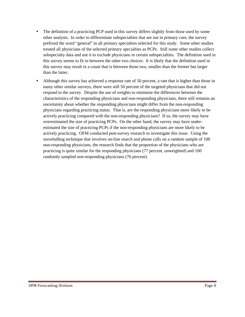- The definition of a practicing PCP used in this survey differs slightly from those used by some other analysts. In order to differentiate subspecialties that are not in primary care, the survey prefixed the word "general" in all primary specialties selected for this study. Some other studies treated all physicians of the selected primary specialties as PCPs. Still some other studies collect subspecialty data and use it to exclude physicians in certain subspecialties. The definition used in this survey seems to fit in between the other two choices. It is likely that the definition used in this survey may result in a count that is between those two, smaller than the former but larger than the latter.
- Although this survey has achieved a response rate of 50 percent, a rate that is higher than those in many other similar surveys, there were still 50 percent of the targeted physicians that did not respond to the survey. Despite the use of weights to minimize the differences between the characteristics of the responding physicians and non-responding physicians, there still remains an uncertainty about whether the responding physicians might differ from the non-responding physicians regarding practicing status. That is, are the responding physicians more likely to be actively practicing compared with the non-responding physicians? If so, the survey may have overestimated the size of practicing PCPs. On the other hand, the survey may have underestimated the size of practicing PCPs if the non-responding physicians are more likely to be actively practicing. OFM conducted post-survey research to investigate this issue. Using the snowballing technique that involves on-line search and phone calls on a random sample of 100 non-responding physicians, the research finds that the proportion of the physicians who are practicing is quite similar for the responding physicians (77 percent, unweighted) and 100 randomly sampled non-responding physicians (76 percent).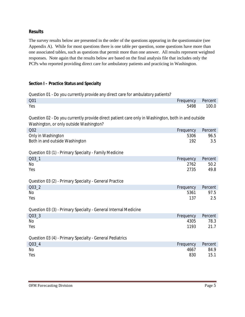#### **Results**

The survey results below are presented in the order of the questions appearing in the questionnaire (see Appendix A). While for most questions there is one table per question, some questions have more than one associated tables, such as questions that permit more than one answer. All results represent weighted responses. Note again that the results below are based on the final analysis file that includes only the PCPs who reported providing direct care for ambulatory patients and practicing in Washington.

#### **Section I – Practice Status and Specialty**

| Question 01 - Do you currently provide any direct care for ambulatory patients?                    |             |             |  |  |
|----------------------------------------------------------------------------------------------------|-------------|-------------|--|--|
| Q01                                                                                                | Frequency   | Percent     |  |  |
| Yes                                                                                                | 5498        | 100.0       |  |  |
| Question 02 - Do you currently provide direct patient care only in Washington, both in and outside |             |             |  |  |
| Washington, or only outside Washington?                                                            |             |             |  |  |
| Q <sub>02</sub>                                                                                    | Frequency   | Percent     |  |  |
| Only in Washington<br>Both in and outside Washington                                               | 5306<br>192 | 96.5<br>3.5 |  |  |
| Question 03 (1) - Primary Specialty - Family Medicine                                              |             |             |  |  |
| Q03 <sub>1</sub>                                                                                   | Frequency   | Percent     |  |  |
| No                                                                                                 | 2762        | 50.2        |  |  |
| Yes                                                                                                | 2735        | 49.8        |  |  |
| Question 03 (2) - Primary Specialty - General Practice                                             |             |             |  |  |
| Q03_2                                                                                              | Frequency   | Percent     |  |  |
| No                                                                                                 | 5361        | 97.5        |  |  |
| Yes                                                                                                | 137         | 2.5         |  |  |
| Question 03 (3) - Primary Specialty - General Internal Medicine                                    |             |             |  |  |
| Q03_3                                                                                              | Frequency   | Percent     |  |  |
| No                                                                                                 | 4305        | 78.3        |  |  |
| Yes                                                                                                | 1193        | 21.7        |  |  |
| Question 03 (4) - Primary Specialty - General Pediatrics                                           |             |             |  |  |
| $Q03-4$                                                                                            | Frequency   | Percent     |  |  |
| No                                                                                                 | 4667        | 84.9        |  |  |
| Yes                                                                                                | 830         | 15.1        |  |  |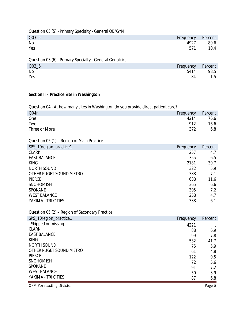Question 03 (5) - Primary Specialty - General OB/GYN

| Q03 <sub>5</sub> | Frequency Percent |
|------------------|-------------------|
| No<br>4927       | 89.6              |
| Yes<br>571       | 10.4              |

Question 03 (6) - Primary Specialty - General Geriatrics

| Q03 <sub>6</sub> | Frequency | Percent |
|------------------|-----------|---------|
| No               | 5414      | 98.5    |
| Yes              | 84        | 1.5     |

#### **Section II – Practice Site in Washington**

Question 04 - At how many sites in Washington do you provide direct patient care?

| Q <sub>04n</sub> |  |  |  | Frequency | Percent |
|------------------|--|--|--|-----------|---------|
| One              |  |  |  | 4214      | 76.6    |
| Two              |  |  |  | 912       | 16.6    |
| Three or More    |  |  |  | 372       | 6.8     |
|                  |  |  |  |           |         |

Question 05 (1) – Region of Main Practice

| SPS_10region_practice1  | Frequency | Percent |
|-------------------------|-----------|---------|
| <b>CLARK</b>            | 257       | 4.7     |
| <b>EAST BALANCE</b>     | 355       | 6.5     |
| <b>KING</b>             | 2181      | 39.7    |
| NORTH SOUND             | 322       | 5.9     |
| OTHER PUGET SOUND METRO | 388       | 7.1     |
| <b>PIERCE</b>           | 638       | 11.6    |
| <b>SNOHOMISH</b>        | 365       | 6.6     |
| <b>SPOKANE</b>          | 395       | 7.2     |
| <b>WEST BALANCE</b>     | 258       | 4.7     |
| YAKIMA - TRI CITIES     | 338       | 6.1     |

Question 05 (2) – Region of Secondary Practice

| SPS_10region_practice1  | Frequency | Percent |
|-------------------------|-----------|---------|
| _Skipped or missing     | 4221      |         |
| <b>CLARK</b>            | 88        | 6.9     |
| <b>EAST BALANCE</b>     | 99        | 7.8     |
| <b>KING</b>             | 532       | 41.7    |
| NORTH SOUND             | 75        | 5.9     |
| OTHER PUGET SOUND METRO | 61        | 4.8     |
| <b>PIERCE</b>           | 122       | 9.5     |
| <b>SNOHOMISH</b>        | 72        | 5.6     |
| <b>SPOKANE</b>          | 91        | 7.2     |
| <b>WEST BALANCE</b>     | 50        | 3.9     |
| YAKIMA - TRI CITIES     | 87        | 6.8     |

OFM Forecasting Division **Page 6**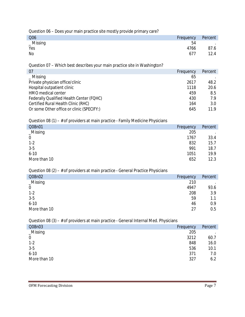Question 06 – Does your main practice site mostly provide primary care?

| Q06          | Frequency | Percent |
|--------------|-----------|---------|
| $\_$ Missing | 54        |         |
| Yes          | 4766      | 87.6    |
| No           | 677       | 12.4    |

Question 07 – Which best describes your main practice site in Washington?

| 07                                        | Frequency | Percent |
|-------------------------------------------|-----------|---------|
| $\_$ Missing                              | 65        |         |
| Private physician office/clinic           | 2617      | 48.2    |
| Hospital outpatient clinic                | 1118      | 20.6    |
| HMO medical center                        | 459       | 8.5     |
| Federally Qualified Health Center (FQHC)  | 430       | 79      |
| Certified Rural Health Clinic (RHC)       | 164       | 3.0     |
| Or some Other office or clinic (SPECIFY:) | 645       | 11 9    |

Question 08 (1) – # of providers at main practice - Family Medicine Physicians

| Q08n01         | Frequency | Percent |
|----------------|-----------|---------|
| _Missing       | 205       |         |
| $\overline{0}$ | 1767      | 33.4    |
| $1 - 2$        | 832       | 15.7    |
| $3-5$          | 991       | 18.7    |
| $6 - 10$       | 1051      | 19.9    |
| More than 10   | 652       | 12.3    |

Question 08 (2) – # of providers at main practice - General Practice Physicians

| Q08n02       | Frequency | Percent |
|--------------|-----------|---------|
| $_M$ issing  | 210       |         |
| 0            | 4947      | 93.6    |
| $1 - 2$      | 208       | 3.9     |
| $3-5$        | 59        | 1.1     |
| $6 - 10$     | 46        | 0.9     |
| More than 10 | 27        | 0.5     |
|              |           |         |

Question 08 (3) – # of providers at main practice - General Internal Med. Physicians

| Q08n03       | Frequency | Percent |
|--------------|-----------|---------|
| _Missing     | 205       |         |
| $\mathbf 0$  | 3212      | 60.7    |
| $1 - 2$      | 848       | 16.0    |
| $3-5$        | 536       | 10.1    |
| $6 - 10$     | 371       | 7.0     |
| More than 10 | 327       | 6.2     |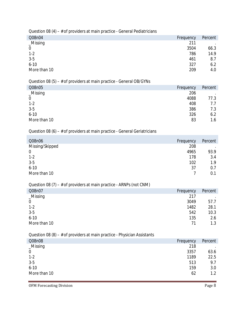| Q08n04         | Frequency | Percent |
|----------------|-----------|---------|
| $\_Missing$    | 211       |         |
| $\overline{0}$ | 3504      | 66.3    |
| $1 - 2$        | 786       | 14.9    |
| $3-5$          | 461       | 8.7     |
| $6 - 10$       | 327       | 6.2     |
| More than 10   | 209       | 4.0     |

## Question 08 (5) – # of providers at main practice - General OB/GYNs

| Q08n05           | Frequency | Percent |
|------------------|-----------|---------|
| $_M$ issing      | 206       |         |
| $\boldsymbol{0}$ | 4088      | 77.3    |
| $1 - 2$          | 408       | 7.7     |
| $3-5$            | 386       | 7.3     |
| $6 - 10$         | 326       | 6.2     |
| More than 10     | 83        | 1.6     |

# Question 08 (6) –  $#$  of providers at main practice - General Geriatricians

| Q08n06          | Frequency | Percent |
|-----------------|-----------|---------|
| Missing/Skipped | 208       |         |
| $\mathbf 0$     | 4965      | 93.9    |
| $1 - 2$         | 178       | 3.4     |
| $3-5$           | 102       | 1.9     |
| $6 - 10$        | 37        | 0.7     |
| More than 10    |           | 0.1     |

## Question 08 (7) – # of providers at main practice - ARNPs (not CNM)

| Q08n07         | Frequency | Percent |
|----------------|-----------|---------|
| _Missing       | 217       | $\cdot$ |
| $\overline{0}$ | 3049      | 57.7    |
| $1 - 2$        | 1482      | 28.1    |
| $3-5$          | 542       | 10.3    |
| $6 - 10$       | 135       | 2.6     |
| More than 10   | 71        | 1.3     |

## Question 08 (8) – # of providers at main practice - Physician Assistants

| Q08n08       | Frequency | Percent |
|--------------|-----------|---------|
| $_M$ issing  | 218       |         |
| $\mathbf 0$  | 3357      | 63.6    |
| $1 - 2$      | 1189      | 22.5    |
| $3-5$        | 513       | 9.7     |
| $6 - 10$     | 159       | 3.0     |
| More than 10 | 62        | 1.2     |

OFM Forecasting Division Page 8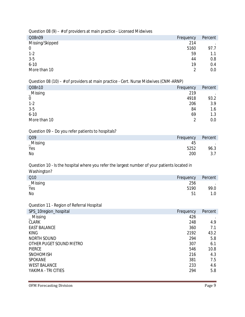Question 08 (9) –  $#$  of providers at main practice - Licensed Midwives

| Q08n09          | Frequency | Percent |
|-----------------|-----------|---------|
| Missing/Skipped | 214       |         |
| $\mathbf 0$     | 5160      | 97.7    |
| $1 - 2$         | 59        | 1.1     |
| $3-5$           | 44        | 0.8     |
| $6 - 10$        | 19        | 0.4     |
| More than 10    | C         | 0.0     |

Question 08 (10) – # of providers at main practice - Cert. Nurse Midwives (CNM-ARNP)

| Q08n10         | Frequency | Percent |
|----------------|-----------|---------|
| $\_Missing$    | 219       |         |
| $\overline{0}$ | 4918      | 93.2    |
| $1 - 2$        | 206       | 3.9     |
| $3-5$          | 84        | 1.6     |
| $6 - 10$       | 69        | 1.3     |
| More than 10   | 2         | 0.0     |

Question 09 – Do you refer patients to hospitals?

| Q09      | Frequency | Percent         |
|----------|-----------|-----------------|
| _Missing | 45        | <b>Contract</b> |
| Yes      | 5252      | 96.3            |
| No       | 200       | 3.7             |

Question 10 - Is the hospital where you refer the largest number of your patients located in Washington?

| Q10      | Frequency | Percent           |
|----------|-----------|-------------------|
| _Missing | 256       | <b>Contractor</b> |
| Yes      | 5190      | 99.0              |
| No       | 51        |                   |

Question 11 - Region of Referral Hospital

| SPS_10region_hospital   | Frequency | Percent |
|-------------------------|-----------|---------|
| $\_$ Missing            | 426       |         |
| <b>CLARK</b>            | 248       | 4.9     |
| <b>EAST BALANCE</b>     | 360       | 7.1     |
| <b>KING</b>             | 2192      | 43.2    |
| NORTH SOUND             | 294       | 5.8     |
| OTHER PUGET SOUND METRO | 307       | 6.1     |
| <b>PIERCE</b>           | 546       | 10.8    |
| <b>SNOHOMISH</b>        | 216       | 4.3     |
| <b>SPOKANE</b>          | 381       | 7.5     |
| <b>WEST BALANCE</b>     | 233       | 4.6     |
| YAKIMA - TRI CITIES     | 294       | 5.8     |

OFM Forecasting Division Page 9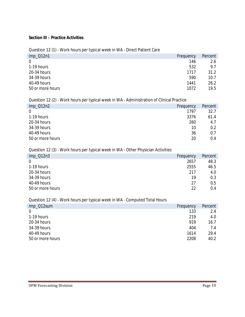#### **Section III – Practice Activities**

#### Question 12 (1) - Work hours per typical week in WA - Direct Patient Care

| $imp_012n1$      | Frequency | Percent |
|------------------|-----------|---------|
| $\Omega$         | 146       | 2.6     |
| 1-19 hours       | 532       | 9.7     |
| 20-34 hours      | 1717      | 31.2    |
| 34-39 hours      | 590       | 10.7    |
| 40-49 hours      | 1441      | 26.2    |
| 50 or more hours | 1072      | 19.5    |
|                  |           |         |

## Question 12 (2) - Work hours per typical week in WA - Administration of Clinical Practice

| $imp_012n2$      | Frequency | Percent |
|------------------|-----------|---------|
| $\Omega$         | 1797      | 32.7    |
| 1-19 hours       | 3376      | 61.4    |
| 20-34 hours      | 260       | 4.7     |
| 34-39 hours      | 10        | 0.2     |
| 40-49 hours      | 36        | 0.7     |
| 50 or more hours | 20        | 0.4     |

#### Question 12 (3) - Work hours per typical week in WA - Other Physician Activities

| $imp_012n3$      | Frequency | Percent |
|------------------|-----------|---------|
| $\mathbf 0$      | 2657      | 48.3    |
| 1-19 hours       | 2555      | 46.5    |
| 20-34 hours      | 217       | 4.0     |
| 34-39 hours      | 19        | 0.3     |
| 40-49 hours      | 27        | 0.5     |
| 50 or more hours | 22        | 0.4     |

## Question 12 (4) - Work hours per typical week in WA - Computed Total Hours

| imp_Q12sum       | Frequency | Percent |
|------------------|-----------|---------|
| $\Omega$         | 133       | 2.4     |
| 1-19 hours       | 219       | 4.0     |
| 20-34 hours      | 919       | 16.7    |
| 34-39 hours      | 404       | 7.4     |
| 40-49 hours      | 1614      | 29.4    |
| 50 or more hours | 2208      | 40.2    |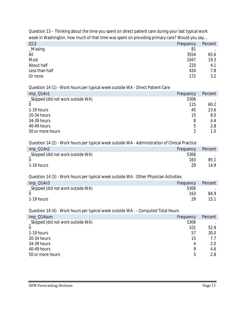Question 13 – Thinking about the time you spent on direct patient care during your last typical work week in Washington, how much of that time was spent on providing primary care? Would you say…

| Q13            |  |  | Frequency | Percent |
|----------------|--|--|-----------|---------|
| $_M$ Issing    |  |  | 81        |         |
| All            |  |  | 3554      | 65.6    |
| Most           |  |  | 1047      | 19.3    |
| About half     |  |  | 220       | 4.1     |
| Less than half |  |  | 424       | 7.8     |
| Or none        |  |  | 172       | 3.2     |
|                |  |  |           |         |

#### Question 14 (1) - Work hours per typical week outside WA - Direct Patient Care

| $imp_014n1$                        | Frequency | Percent |
|------------------------------------|-----------|---------|
| _Skipped (did not work outside WA) | 5306      |         |
| $\Omega$                           | 115       | 60.2    |
| 1-19 hours                         | 45        | 23.6    |
| 20-34 hours                        | 15        | 8.0     |
| 34-39 hours                        | 8         | 4.4     |
| 40-49 hours                        | 5         | 2.8     |
| 50 or more hours                   |           | 1.0     |

#### Question 14 (2) - Work hours per typical week outside WA - Administration of Clinical Practice

| imp_Q14n2                          | Frequency | Percent |
|------------------------------------|-----------|---------|
| _Skipped (did not work outside WA) | 5306      |         |
|                                    | 163       | 85.1    |
| 1-19 hours                         | 29.       | 14.9    |

## Question 14 (3) - Work hours per typical week outside WA - Other Physician Activities

| $imp_014n3$                        | Frequency | Percent |
|------------------------------------|-----------|---------|
| _Skipped (did not work outside WA) | 5306      |         |
|                                    | 163       | 84.9    |
| 1-19 hours                         | ንዐ        | 15.1    |

## Question 14 (4) - Work hours per typical week outside WA - - Computed Total Hours

| imp_Q14sum                         | Frequency | Percent |
|------------------------------------|-----------|---------|
| _Skipped (did not work outside WA) | 5306      |         |
| $\Omega$                           | 101       | 52.9    |
| 1-19 hours                         | 57        | 30.0    |
| 20-34 hours                        | 15        | 7.7     |
| 34-39 hours                        | 4         | 2.0     |
| 40-49 hours                        | 9         | 4.6     |
| 50 or more hours                   | 5         | 2.8     |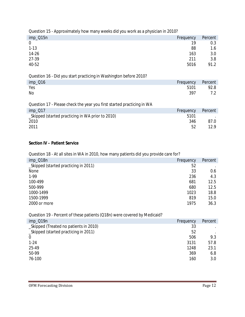| Question 15 - Approximately how many weeks did you work as a physician in 2010? |           |         |  |
|---------------------------------------------------------------------------------|-----------|---------|--|
| imp_Q15n                                                                        | Frequency | Percent |  |
| $\theta$                                                                        | 19        | 0.3     |  |
| $1 - 13$                                                                        | 88        | 1.6     |  |
| 14-26                                                                           | 163       | 3.0     |  |
| 27-39                                                                           | 211       | 3.8     |  |
| 40-52                                                                           | 5016      | 91.2    |  |
| Question 16 - Did you start practicing in Washington before 2010?               |           |         |  |
| imp_Q16                                                                         | Frequency | Percent |  |
| Yes                                                                             | 5101      | 92.8    |  |
| No.                                                                             | 397       | 7.2     |  |
|                                                                                 |           |         |  |
| Question 17 - Please check the year you first started practicing in WA          |           |         |  |
| imp_Q17                                                                         | Frequency | Percent |  |
| _Skipped (started practicing in WA prior to 2010)                               | 5101      |         |  |
| 2010                                                                            | 346       | 87.0    |  |
| 2011                                                                            | 52        | 12.9    |  |

#### **Section IV – Patient Service**

Question 18 - At all sites in WA in 2010, how many patients did you provide care for?

| imp_Q18n                              | Frequency | Percent   |
|---------------------------------------|-----------|-----------|
| _Skipped (started practicing in 2011) | 52        | $\bullet$ |
| None                                  | 33        | 0.6       |
| $1-99$                                | 236       | 4.3       |
| 100-499                               | 681       | 12.5      |
| 500-999                               | 680       | 12.5      |
| 1000-1499                             | 1023      | 18.8      |
| 1500-1999                             | 819       | 15.0      |
| 2000 or more                          | 1975      | 36.3      |

Question 19 - Percent of these patients (Q18n) were covered by Medicaid?

| imp_Q19n<br>Frequency                        | Percent |
|----------------------------------------------|---------|
| _Skipped (Treated no patients in 2010)<br>33 |         |
| _Skipped (started practicing in 2011)<br>52  |         |
| 506<br>$\Omega$                              | 9.3     |
| 3131<br>$1 - 24$                             | 57.8    |
| 25-49<br>1248                                | 23.1    |
| 50-99<br>369                                 | 6.8     |
| 76-100<br>160                                | 3.0     |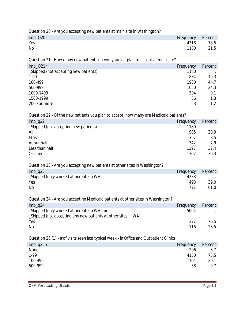Question 20 - Are you accepting new patients at main site in Washington?

| $imp_220$<br>Frequency Percent |      |
|--------------------------------|------|
| Yes<br>4318                    | 78.5 |
| No<br>1180                     | 21.5 |

Question 21 - How many new patients do you yourself plan to accept at main site?

| $imp_021n$                            | Frequency | Percent |
|---------------------------------------|-----------|---------|
| _Skipped (not accepting new patients) | 1180      |         |
| $1-99$                                | 834       | 19.3    |
| 100-499                               | 1930      | 44.7    |
| 500-999                               | 1050      | 24.3    |
| 1000-1499                             | 394       | 9.1     |
| 1500-1999                             | 56        | 1.3     |
| 2000 or more                          | 53        | 1.2     |

Question 22 - Of the new patients you plan to accept, how many are Medicaid patients?

| $imp_q22$                             | Frequency | Percent |
|---------------------------------------|-----------|---------|
| _Skipped (not accepting new patients) | 1180      |         |
| All                                   | 905       | 20.9    |
| Most                                  | 367       | 8.5     |
| About half                            | 342       | 79      |
| Less than half                        | 1397      | 32.4    |
| Or none                               | 1307      | 30.3    |

#### Question 23 - Are you accepting new patients at other sites in Washington?

| $imp_q23$                                | Frequency | Percent |
|------------------------------------------|-----------|---------|
| _Skipped (only worked at one site in WA) | 4233      |         |
| Yes                                      | 493       | 39.0    |
| No                                       | 771       | 61.0    |

Question 24 - Are you accepting Medicaid patients at other sites in Washington?

| $imp_q24$                                                      | Frequency | Percent |
|----------------------------------------------------------------|-----------|---------|
| _Skipped (only worked at one site in WA), or                   | 5004      |         |
| _Skipped (not accepting any new patients at other sites in WA) |           |         |
| Yes                                                            | 377       | 76.5    |
| No                                                             | 116       | 23.5    |

Question 25 (1) - # of visits seen last typical week - in Office and Outpatient Clinics

| $imp_q25n1$<br>Frequency | Percent |
|--------------------------|---------|
| 206<br>None              | 3.7     |
| $1-99$<br>4150           | 75.5    |
| 100-499<br>1104          | 20.1    |
| 500-999<br>38            | 0.7     |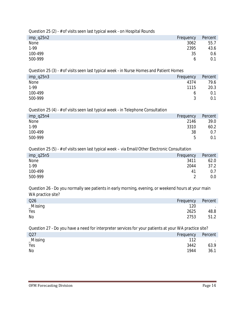Question 25 (2) - # of visits seen last typical week - on Hospital Rounds

| $imp_q25n2$ | Frequency    | Percent |
|-------------|--------------|---------|
| None        | 3062         | 55.7    |
| $1-99$      | 2395         | 43.6    |
| 100-499     | 35           | 0.6     |
| 500-999     | <sub>0</sub> | 0.1     |

Question 25 (3) - # of visits seen last typical week - in Nurse Homes and Patient Homes

| $imp_q25n3$ | Frequency | Percent |
|-------------|-----------|---------|
| None        | 4374      | 79.6    |
| $1-99$      | 1115      | 20.3    |
| 100-499     | O         | 0.1     |
| 500-999     |           | 0.1     |

Question 25 (4) - # of visits seen last typical week - in Telephone Consultation

| $imp_q25n4$ | Frequency | Percent |
|-------------|-----------|---------|
| None        | 2146      | 39.0    |
| 1-99        | 3310      | 60.2    |
| 100-499     | 38        | 0.7     |
| 500-999     | 5         | 0.1     |

Question 25 (5) - # of visits seen last typical week – via Email/Other Electronic Consultation

| Frequency | Percent |
|-----------|---------|
| 3411      | 62.0    |
| 2044      | 37.2    |
| 41        | 0.7     |
|           | 0.0     |
|           |         |

Question 26 - Do you normally see patients in early morning, evening, or weekend hours at your main WA practice site?

| Q26         | Frequency | Percent                  |
|-------------|-----------|--------------------------|
| $_M$ issing | 120       | <b>Contract Contract</b> |
| Yes         | 2625      | 48.8                     |
| No          | 2753      | 51.2                     |

Question 27 - Do you have a need for interpreter services for your patients at your WA practice site?

| Q27      | Frequency | Percent           |
|----------|-----------|-------------------|
| _Missing | 112       | <b>Contractor</b> |
| Yes      | 3442      | 63.9              |
| No       | 1944      | 36.1              |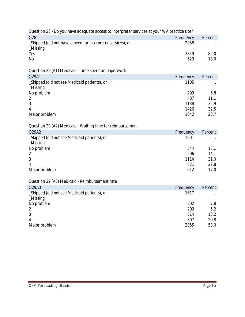| Question 28 - Do you have adequate access to interpreter services at your WA practice site? |           |         |
|---------------------------------------------------------------------------------------------|-----------|---------|
| Q28                                                                                         | Frequency | Percent |
| _Skipped (did not have a need for interpreter services), or<br>$_M$ issing                  | 2058      |         |
| Yes                                                                                         | 2819      | 82.0    |
| No                                                                                          | 620       | 18.0    |
|                                                                                             |           |         |
| Question 29 (A1) Medicaid - Time spent on paperwork                                         |           |         |
| Q29A1                                                                                       | Frequency | Percent |
| _Skipped (did not see Medicaid patients), or<br>_Missing                                    | 1105      |         |
| No problem                                                                                  | 299       | 6.8     |
| $\overline{2}$                                                                              | 487       | 11.1    |
| 3                                                                                           | 1138      | 25.9    |
| 4                                                                                           | 1426      | 32.5    |
| Major problem                                                                               | 1042      | 23.7    |
|                                                                                             |           |         |
| Question 29 (A2) Medicaid - Waiting time for reimbursement                                  |           |         |
| Q29A2                                                                                       | Frequency | Percent |
| _Skipped (did not see Medicaid patients), or                                                | 1901      |         |
| _Missing                                                                                    |           |         |
| No problem                                                                                  | 544       | 15.1    |
| $\overline{2}$                                                                              | 506       | 14.1    |
| 3                                                                                           | 1114      | 31.0    |
| 4                                                                                           | 821       | 22.8    |
| Major problem                                                                               | 612       | 17.0    |
|                                                                                             |           |         |
| Question 29 (A3) Medicaid - Reimbursement rate                                              |           |         |
| Q29A3                                                                                       | Frequency | Percent |
| _Skipped (did not see Medicaid patients), or                                                | 1617      |         |
| _Missing                                                                                    |           |         |
| No problem                                                                                  | 302       | 7.8     |
| $\overline{2}$                                                                              | 203       | 5.2     |
| 3                                                                                           | 514       | 13.2    |
| 4                                                                                           | 807       | 20.8    |
| Major problem                                                                               | 2055      | 53.0    |
|                                                                                             |           |         |
|                                                                                             |           |         |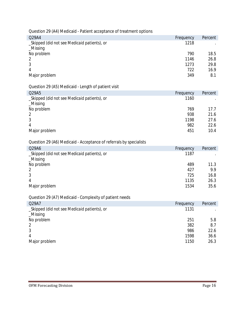| Question 29 (A4) Medicaid - Patient acceptance of treatment options |  |
|---------------------------------------------------------------------|--|
|                                                                     |  |

| Q29A4                                        | Frequency | Percent |
|----------------------------------------------|-----------|---------|
| _Skipped (did not see Medicaid patients), or | 1218      |         |
| $M$ issing                                   |           |         |
| No problem                                   | 790       | 18.5    |
| $\mathcal{P}$                                | 1146      | 26.8    |
| 3                                            | 1273      | 29.8    |
| 4                                            | 722       | 16.9    |
| Major problem                                | 349       | 8.1     |

## Question 29 (A5) Medicaid - Length of patient visit

| Q29A5                                        | Frequency | Percent |
|----------------------------------------------|-----------|---------|
| _Skipped (did not see Medicaid patients), or | 1160      |         |
| $\_Missing$                                  |           |         |
| No problem                                   | 769       | 17.7    |
| $\mathcal{P}$                                | 938       | 21.6    |
| 3                                            | 1198      | 27.6    |
| 4                                            | 982       | 22.6    |
| Major problem                                | 451       | 10.4    |

## Question 29 (A6) Medicaid - Acceptance of referrals by specialists

| Q29A6                                        | Frequency | Percent |
|----------------------------------------------|-----------|---------|
| _Skipped (did not see Medicaid patients), or | 1187      |         |
| Missing                                      |           |         |
| No problem                                   | 489       | 11.3    |
|                                              | 427       | 9.9     |
|                                              | 725       | 16.8    |
| 4                                            | 1135      | 26.3    |
| Major problem                                | 1534      | 35.6    |

## Question 29 (A7) Medicaid - Complexity of patient needs

| Q29A7                                        | Frequency | Percent |
|----------------------------------------------|-----------|---------|
| _Skipped (did not see Medicaid patients), or | 1131      | $\cdot$ |
| $_M$ issing                                  |           |         |
| No problem                                   | 251       | 5.8     |
| 2                                            | 382       | 8.7     |
| 3                                            | 986       | 22.6    |
| 4                                            | 1598      | 36.6    |
| Major problem                                | 1150      | 26.3    |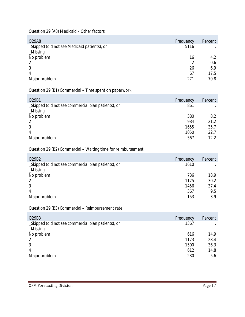Question 29 (A8) Medicaid – Other factors

| Q29A8                                        | Frequency | Percent |
|----------------------------------------------|-----------|---------|
| _Skipped (did not see Medicaid patients), or | 5116      | $\cdot$ |
| $_M$ issing                                  |           |         |
| No problem                                   | 16        | 4.2     |
| 2                                            |           | 0.6     |
| 3                                            | 26        | 6.9     |
| 4                                            | 67        | 17.5    |
| Major problem                                | 271       | 70.8    |
|                                              |           |         |

Question 29 (B1) Commercial – Time spent on paperwork

| Q29B1                                               | Frequency | Percent |
|-----------------------------------------------------|-----------|---------|
| _Skipped (did not see commercial plan patients), or | 861       |         |
| $_M$ issing                                         |           |         |
| No problem                                          | 380       | 8.2     |
|                                                     | 984       | 21.2    |
| 3                                                   | 1655      | 35.7    |
| 4                                                   | 1050      | 22.7    |
| Major problem                                       | 567       | 12.2    |

#### Question 29 (B2) Commercial – Waiting time for reimbursement

| Q29B2                                               | Frequency | Percent |
|-----------------------------------------------------|-----------|---------|
| _Skipped (did not see commercial plan patients), or | 1610      |         |
| $_M$ issing                                         |           |         |
| No problem                                          | 736       | 18.9    |
| 2                                                   | 1175      | 30.2    |
| 3                                                   | 1456      | 37.4    |
| 4                                                   | 367       | 9.5     |
| Major problem                                       | 153       | 3.9     |

Question 29 (B3) Commercial – Reimbursement rate

| Q29B3                                               | Frequency | Percent |
|-----------------------------------------------------|-----------|---------|
| _Skipped (did not see commercial plan patients), or | 1367      |         |
| $_M$ issing                                         |           |         |
| No problem                                          | 616       | 14.9    |
| 2                                                   | 1173      | 28.4    |
| 3                                                   | 1500      | 36.3    |
| 4                                                   | 612       | 14.8    |
| Major problem                                       | 230       | 5.6     |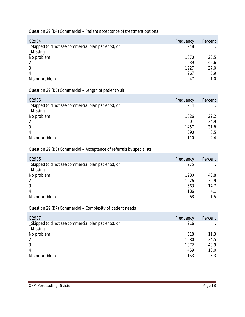Question 29 (B4) Commercial – Patient acceptance of treatment options

| Q29B4                                               | Frequency | Percent |
|-----------------------------------------------------|-----------|---------|
| _Skipped (did not see commercial plan patients), or | 948       |         |
| $_M$ issing                                         |           |         |
| No problem                                          | 1070      | 23.5    |
| 2                                                   | 1939      | 42.6    |
| 3                                                   | 1227      | 27.0    |
| 4                                                   | 267       | 5.9     |
| Major problem                                       | 47        | 1.0     |

Question 29 (B5) Commercial – Length of patient visit

| Q29B5                                               | Frequency | Percent |
|-----------------------------------------------------|-----------|---------|
| _Skipped (did not see commercial plan patients), or | 914       |         |
| $_M$ issing                                         |           |         |
| No problem                                          | 1026      | 22.2    |
|                                                     | 1601      | 34.9    |
| 3                                                   | 1457      | 31.8    |
| 4                                                   | 390       | 8.5     |
| Major problem                                       | 110       | 2.4     |

#### Question 29 (B6) Commercial – Acceptance of referrals by specialists

| Q29B6                                               | Frequency | Percent |
|-----------------------------------------------------|-----------|---------|
| _Skipped (did not see commercial plan patients), or | 975       |         |
| $_M$ issing                                         |           |         |
| No problem                                          | 1980      | 43.8    |
| 2                                                   | 1626      | 35.9    |
| 3                                                   | 663       | 14.7    |
| 4                                                   | 186       | 4.1     |
| Major problem                                       | 68        | 1.5     |

Question 29 (B7) Commercial – Complexity of patient needs

| Q29B7                                               | Frequency | Percent |
|-----------------------------------------------------|-----------|---------|
| _Skipped (did not see commercial plan patients), or | 916       |         |
| $_M$ issing                                         |           |         |
| No problem                                          | 518       | 11.3    |
| $\mathcal{P}$                                       | 1580      | 34.5    |
|                                                     | 1872      | 40.9    |
| 4                                                   | 459       | 10.0    |
| Major problem                                       | 153       | 3.3     |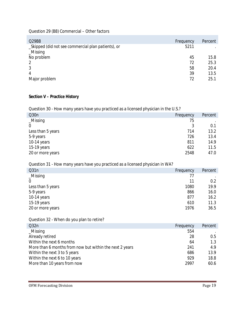Question 29 (B8) Commercial – Other factors

| Frequency | Percent |
|-----------|---------|
| 5211      |         |
|           |         |
| 45        | 15.8    |
| 72        | 25.3    |
| 58        | 20.4    |
| 39        | 13.5    |
| 72        | 25.1    |
|           |         |

## **Section V – Practice History**

Question 30 - How many years have you practiced as a licensed physician in the U.S.?

| Q30n              | Frequency | Percent |
|-------------------|-----------|---------|
| $\_Missing$       | 75        |         |
| $\overline{0}$    |           | 0.1     |
| Less than 5 years | 714       | 13.2    |
| 5-9 years         | 726       | 13.4    |
| 10-14 years       | 811       | 14.9    |
| 15-19 years       | 622       | 11.5    |
| 20 or more years  | 2548      | 47.0    |

#### Question 31 - How many years have you practiced as a licensed physician in WA?

| Q31n              | Frequency | Percent |
|-------------------|-----------|---------|
| $_M$ issing       | 77        |         |
| $\overline{0}$    | 11        | 0.2     |
| Less than 5 years | 1080      | 19.9    |
| 5-9 years         | 866       | 16.0    |
| 10-14 years       | 877       | 16.2    |
| 15-19 years       | 610       | 11.3    |
| 20 or more years  | 1976      | 36.5    |

#### Question 32 - When do you plan to retire?

| Q32n                                                    | Frequency | Percent |
|---------------------------------------------------------|-----------|---------|
| $\_Missing$                                             | 554       |         |
| Already retired                                         | 28        | 0.5     |
| Within the next 6 months                                | 64        | 1.3     |
| More than 6 months from now but within the next 2 years | 241       | 4.9     |
| Within the next 3 to 5 years                            | 686       | 13.9    |
| Within the next 6 to 10 years                           | 929       | 18.8    |
| More than 10 years from now                             | 2997      | 60.6    |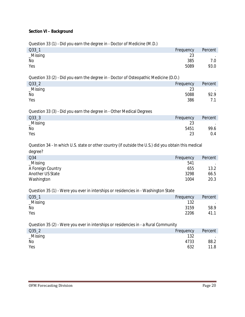#### **Section VI – Background**

Question 33 (1) - Did you earn the degree in - Doctor of Medicine (M.D.)

| $Q33_1$     | Frequency | Percent   |
|-------------|-----------|-----------|
| $_M$ issing | 23        | $\bullet$ |
| No          | 385       | 7.0       |
| Yes         | 5089      | 93.0      |

Question 33 (2) - Did you earn the degree in - Doctor of Osteopathic Medicine (D.O.)

| $Q33_2$  | Frequency | Percent |
|----------|-----------|---------|
| _Missing | 23        |         |
| No       | 5088      | 92.9    |
| Yes      | 386       | 71      |
|          |           |         |

Question 33 (3) - Did you earn the degree in - Other Medical Degrees

| Q33 <sub>3</sub> | Frequency | Percent |
|------------------|-----------|---------|
| _Missing         | 23        |         |
| No               | 5451      | 99.6    |
| Yes              | 23        | 0.4     |

Question 34 - In which U.S. state or other country (if outside the U.S.) did you obtain this medical degree?

| Q34               | Frequency | Percent |
|-------------------|-----------|---------|
| $\_Missing$       | 541       |         |
| A Foreign Country | 655       | 13.2    |
| Another US State  | 3298      | 66.5    |
| Washington        | 1004      | 20.3    |

Question 35 (1) - Were you ever in interships or residencies in - Washington State

| $Q35_1$  | Frequency | Percent          |
|----------|-----------|------------------|
| _Missing | 132       | $\sim$ 100 $\pm$ |
| No       | 3159      | 58.9             |
| Yes      | 2206      | 41.1             |
|          |           |                  |

Question 35 (2) - Were you ever in interships or residencies in - a Rural Community

| $Q35_2$<br>Frequency | Percent |
|----------------------|---------|
| _Missing<br>132      | $\cdot$ |
| No<br>4733           | 88.2    |
| Yes<br>632           | 11.8    |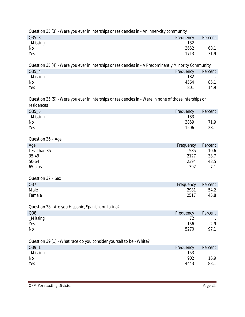| Percent |
|---------|
|         |
| 68.1    |
| 31.9    |
|         |

Question 35 (4) - Were you ever in interships or residencies in - A Predominantly Minority Community Q35\_4 Frequency Percent Number of Section 132 Percent Percent Number of Section 132 Percent Number of Section 132 Percent Number of Section 132 Percent 132 Percent Number of Section 132 Percent Number of Section 132 Percen *\_Missing* 132 . No 4564 85.1

| Yes | 801 | 14.9 |
|-----|-----|------|

Question 35 (5) - Were you ever in interships or residencies in - Were in none of those interships or residences

| $Q35-5$     | Frequency | Percent         |
|-------------|-----------|-----------------|
| $\_Missing$ | 133       | <b>Contract</b> |
| No          | 3859      | 71.9            |
| Yes         | 1506      | 28.1            |

Question 36 – Age

| Age          | Frequency | Percent |
|--------------|-----------|---------|
| Less than 35 | 585       | 10.6    |
| 35-49        | 2127      | 38.7    |
| 50-64        | 2394      | 43.5    |
| 65 plus      | 392       |         |

| Question 37 – Sex |           |         |
|-------------------|-----------|---------|
| Q37               | Frequency | Percent |
| Male              | 2981      | 54.2    |
| Female            | 2517      | 45.8    |

Question 38 - Are you Hispanic, Spanish, or Latino?

| Q38       | Frequency | Percent |
|-----------|-----------|---------|
| _Missing  |           | $\sim$  |
| Yes       | 156       | 2.9     |
| <b>No</b> | 5270      | 97.1    |

#### Question 39 (1) - What race do you consider yourself to be - White?

| $Q39_1$  | Frequency | Percent |
|----------|-----------|---------|
| _Missing | 153       | $\sim$  |
| No       | 902       | 16.9    |
| Yes      | 4443      | 83.1    |
|          |           |         |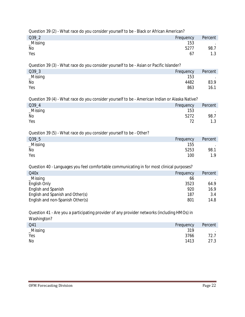| Question 39 (2) - What race do you consider yourself to be - Black or African American?                                                                                                                                                       |                                              |                                        |
|-----------------------------------------------------------------------------------------------------------------------------------------------------------------------------------------------------------------------------------------------|----------------------------------------------|----------------------------------------|
| Q39_2                                                                                                                                                                                                                                         | Frequency                                    | Percent                                |
| _Missing<br>No<br>Yes                                                                                                                                                                                                                         | 153<br>5277<br>67                            | 98.7<br>1.3                            |
| Question 39 (3) - What race do you consider yourself to be - Asian or Pacific Islander?                                                                                                                                                       |                                              |                                        |
| Q39_3                                                                                                                                                                                                                                         | Frequency                                    | Percent                                |
| _Missing<br>No<br>Yes                                                                                                                                                                                                                         | 153<br>4482<br>863                           | 83.9<br>16.1                           |
| Question 39 (4) - What race do you consider yourself to be - American Indian or Alaska Native?                                                                                                                                                |                                              |                                        |
| Q39_4                                                                                                                                                                                                                                         | Frequency                                    | Percent                                |
| _Missing<br>No<br>Yes                                                                                                                                                                                                                         | 153<br>5272<br>72                            | 98.7<br>1.3                            |
| Question 39 (5) - What race do you consider yourself to be - Other?                                                                                                                                                                           |                                              |                                        |
| Q39_5                                                                                                                                                                                                                                         | Frequency                                    | Percent                                |
| _Missing<br>No<br>Yes                                                                                                                                                                                                                         | 155<br>5253<br>100                           | 98.1<br>1.9                            |
| Question 40 - Languages you feel comfortable communicating in for most clinical purposes?                                                                                                                                                     |                                              |                                        |
| Q40x<br>_Missing<br>English Only<br>English and Spanish<br>English and Spanish and Other(s)<br>English and non-Spanish Other(s)<br>Question 41 - Are you a participating provider of any provider networks (including HMOs) in<br>Washington? | Frequency<br>66<br>3523<br>920<br>187<br>801 | Percent<br>64.9<br>16.9<br>3.4<br>14.8 |
| Q41                                                                                                                                                                                                                                           | Frequency                                    | Percent                                |
| Miccina                                                                                                                                                                                                                                       | 310                                          |                                        |

| Q41      | Frequency | Percent           |
|----------|-----------|-------------------|
| _Missing | 319       | <b>Contractor</b> |
| Yes      | 3766      | 72.7              |
| No       | 1413      | 27.3              |
|          |           |                   |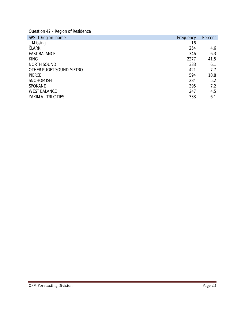Question 42 – Region of Residence

| SPS_10region_home       | Frequency | Percent |
|-------------------------|-----------|---------|
| $\_$ Missing            | 16        |         |
| <b>CLARK</b>            | 254       | 4.6     |
| <b>EAST BALANCE</b>     | 346       | 6.3     |
| <b>KING</b>             | 2277      | 41.5    |
| <b>NORTH SOUND</b>      | 333       | 6.1     |
| OTHER PUGET SOUND METRO | 421       | 7.7     |
| <b>PIERCE</b>           | 594       | 10.8    |
| <b>SNOHOMISH</b>        | 284       | 5.2     |
| <b>SPOKANE</b>          | 395       | 7.2     |
| <b>WEST BALANCE</b>     | 247       | 4.5     |
| YAKIMA - TRI CITIES     | 333       | 6.1     |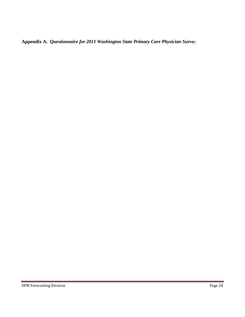**Appendix A.** *Questionnaire for 2011 Washington State Primary Care Physician Survey*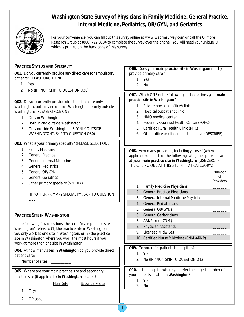# **Washington State Survey of Physicians in Family Medicine, General Practice, Internal Medicine, Pediatrics, OB/GYN, and Geriatrics**



*For your convenience, you can fill out this survey online at www.waofmsurvey.com or call the Gilmore Research Group at (866) 722-3134 to complete the survey over the phone. You will need your unique ID, which is printed on the back page of this survey.*

 $\mathbf{I}$ 

| <b>PRACTICE STATUS AND SPECIALTY</b><br>Q01. Do you currently provide any direct care for ambulatory<br>patients? PLEASE CIRCLE ONE<br>1. Yes<br>2.<br>No (IF "NO", SKIP TO QUESTION Q30)                                                                                                                           | Q06. Does your main practice site in Washington mostly<br>provide primary care?<br>1. Yes<br>2.<br>No                                                                                                                                                                                                                                                        |
|---------------------------------------------------------------------------------------------------------------------------------------------------------------------------------------------------------------------------------------------------------------------------------------------------------------------|--------------------------------------------------------------------------------------------------------------------------------------------------------------------------------------------------------------------------------------------------------------------------------------------------------------------------------------------------------------|
| Q02. Do you currently provide direct patient care only in<br>Washington, both in and outside Washington, or only outside<br>Washington? PLEASE CIRCLE ONE<br>1. Only in Washington<br>Both in and outside Washington<br>2.<br>Only outside Washington (IF "ONLY OUTSIDE<br>3.<br>WASHINGTON", SKIP TO QUESTION Q30) | Q07. Which ONE of the following best describes your main<br>practice site in Washington?<br>Private physician office/clinic<br>1.<br>Hospital outpatient clinic<br>2.<br>HMO medical center<br>3.<br>Federally Qualified Health Center (FQHC)<br>4.<br>Certified Rural Health Clinic (RHC)<br>5.<br>Other office or clinic not listed above (DESCRIBE)<br>6. |
| Q03. What is your primary specialty? (PLEASE SELECT ONE)<br><b>Family Medicine</b><br>1.<br><b>General Practice</b><br>2.                                                                                                                                                                                           | Q08. How many providers, including yourself (where<br>applicable), in each of the following categories provide care                                                                                                                                                                                                                                          |
| <b>General Internal Medicine</b><br>3.<br><b>General Pediatrics</b><br>4.<br>General OB/GYN<br>5.<br><b>General Geriatrics</b><br>6.                                                                                                                                                                                | at your main practice site in Washington? (USE ZERO IF<br>THERE IS NO ONE AT THIS SITE IN THAT CATEGORY.)<br>Number<br>οf                                                                                                                                                                                                                                    |
| Other primary specialty (SPECIFY)<br>7.<br>(IF "OTHER PRIMARY SPECIALTY", SKIP TO QUESTION                                                                                                                                                                                                                          | Providers<br><b>Family Medicine Physicians</b><br>1.<br><b>General Practice Physicians</b><br>2.                                                                                                                                                                                                                                                             |
| Q30)<br><b>PRACTICE SITE IN WASHINGTON</b>                                                                                                                                                                                                                                                                          | General Internal Medicine Physicians<br>3.<br><b>General Pediatricians</b><br>4.<br>General OB/GYNs<br>5.<br><b>General Geriatricians</b><br>6.                                                                                                                                                                                                              |
| In the following few questions, the term "main practice site in<br>Washington" refers to (1) the practice site in Washington if<br>you only work at one site in Washington, or (2) the practice<br>site in Washington where you work the most hours if you<br>work at more than one site in Washington.             | ARNPs (not CNM)<br>7.<br>Physician Assistants<br>8.<br><b>Licensed Midwives</b><br>9.<br>10. Certified Nurse Midwives (CNM-ARNP)                                                                                                                                                                                                                             |
| Q04. At how many sites in Washington do you provide direct<br>patient care?<br>Number of sites: ___________                                                                                                                                                                                                         | Q09. Do you refer patients to hospitals?<br>1. Yes<br>2.<br>No (IN "NO", SKIP TO QUESTION Q12)                                                                                                                                                                                                                                                               |
| Q05. Where are your main practice site and secondary<br>practice site (if applicable) in Washington located?<br>Main Site<br>Secondary Site<br>City:<br>1.                                                                                                                                                          | Q10. Is the hospital where you refer the largest number of<br>your patients located in Washington?<br>1. Yes<br>2.<br>No                                                                                                                                                                                                                                     |
| ZIP code:<br>2.                                                                                                                                                                                                                                                                                                     |                                                                                                                                                                                                                                                                                                                                                              |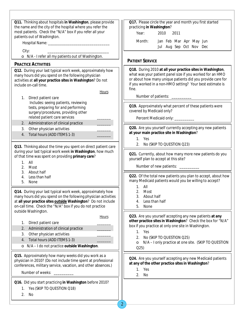| Q11. Thinking about hospitals in Washington, please provide<br>the name and the city of the hospital where you refer the<br>most patients. Check the "N/A" box if you refer all your<br>patients out of Washington.                                       | Q17. Please circle the year and month you first started<br>practicing in Washington?<br>Year:<br>2010<br>2011                                                                                                                                               |
|-----------------------------------------------------------------------------------------------------------------------------------------------------------------------------------------------------------------------------------------------------------|-------------------------------------------------------------------------------------------------------------------------------------------------------------------------------------------------------------------------------------------------------------|
|                                                                                                                                                                                                                                                           | Month:<br>Jan Feb Mar Apr May Jun<br>Jul Aug Sep Oct Nov Dec                                                                                                                                                                                                |
| City:                                                                                                                                                                                                                                                     |                                                                                                                                                                                                                                                             |
| • N/A - I refer all my patients out of Washington.                                                                                                                                                                                                        | <b>PATIENT SERVICE</b>                                                                                                                                                                                                                                      |
| <b>PRACTICE ACTIVITIES</b>                                                                                                                                                                                                                                |                                                                                                                                                                                                                                                             |
| Q12. During your last typical work week, approximately how<br>many hours did you spend on the following physician<br>activities at all your practice sites in Washington? Do not<br>include on-call time.<br><b>Hours</b>                                 | Q18. During 2010 at all your practice sites in Washington,<br>what was your patient panel size if you worked for an HMO<br>or about how many unique patients did you provide care for<br>if you worked in a non-HMO setting? Your best estimate is<br>fine. |
| 1. Direct patient care                                                                                                                                                                                                                                    | Number of patients: _________                                                                                                                                                                                                                               |
| Includes: seeing patients, reviewing<br>tests, preparing for and performing<br>surgery/procedures, providing other<br>related patient care services                                                                                                       | Q19. Approximately what percent of these patients were<br>covered by Medicaid only?<br>Percent Medicaid only: __________                                                                                                                                    |
| Administration of clinical practice<br>2.                                                                                                                                                                                                                 |                                                                                                                                                                                                                                                             |
| Other physician activities<br>3.<br>Total hours (ADD ITEMS 1-3)<br>4.                                                                                                                                                                                     | Q20. Are you yourself currently accepting any new patients<br>at your main practice site in Washington?<br>1. Yes                                                                                                                                           |
| Q13. Thinking about the time you spent on direct patient care                                                                                                                                                                                             | 2. No (SKIP TO QUESTION Q23)                                                                                                                                                                                                                                |
| during your last typical work week in Washington, how much<br>of that time was spent on providing primary care?<br>$1.$ All<br>2. Most<br>3. About half                                                                                                   | Q21. Currently, about how many more new patients do you<br>yourself plan to accept at this site?<br>Number of new patients: ________                                                                                                                        |
| Less than half<br>4.<br>5.<br>None                                                                                                                                                                                                                        | Q22. Of the total new patients you plan to accept, about how<br>many Medicaid patients would you be willing to accept?<br>$1.$ All                                                                                                                          |
| Q14. During your last typical work week, approximately how<br>many hours did you spend on the following physician activities<br>at all your practice sites outside Washington? Do not include<br>on-call time. Check the "N/A" box if you do not practice | 2.<br>Most<br>About half<br>3.<br>Less than half<br>4.<br>5.<br>None                                                                                                                                                                                        |
| outside Washington.                                                                                                                                                                                                                                       |                                                                                                                                                                                                                                                             |
| <b>Hours</b><br>Direct patient care<br>1.<br>Administration of clinical practice<br>2.                                                                                                                                                                    | Q23. Are you yourself accepting any new patients at any<br>other practice sites in Washington? Check the box for "N/A"<br>box if you practice at only one site in Washington.<br>1. Yes                                                                     |
| Other physician activities<br>3.                                                                                                                                                                                                                          | No (SKIP TO QUESTION Q25)<br>2.                                                                                                                                                                                                                             |
| Total hours (ADD ITEMS 1-3)<br>4.<br>• N/A - I do not practice outside Washington.                                                                                                                                                                        | • N/A - I only practice at one site. (SKIP TO QUESTION<br>Q <sub>25</sub>                                                                                                                                                                                   |
| Q15. Approximately how many weeks did you work as a                                                                                                                                                                                                       |                                                                                                                                                                                                                                                             |
| physician in 2010? (Do not include time spent at professional<br>conferences, military service, vacation, and other absences.)                                                                                                                            | Q24. Are you yourself accepting any new Medicaid patients<br>at any of the other practice sites in Washington?<br>1. Yes                                                                                                                                    |
| Number of weeks:                                                                                                                                                                                                                                          | 2.<br>No                                                                                                                                                                                                                                                    |
| Q16. Did you start practicing in Washington before 2010?<br>1. Yes (SKIP TO QUESTION Q18)<br>2.<br>No                                                                                                                                                     |                                                                                                                                                                                                                                                             |
|                                                                                                                                                                                                                                                           |                                                                                                                                                                                                                                                             |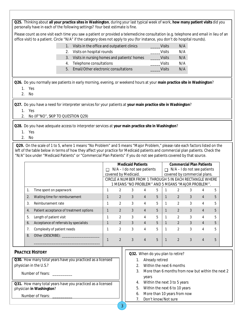**Q25.** Thinking about **all your practice sites in Washington**, during your last typical week of work, **how many patient visits** did you personally have in each of the following settings? Your best estimate is fine.

Please count as one visit each time you saw a patient or provided a telemedicine consultation (e.g. telephone and email in lieu of an office visit) to a patient. Circle "N/A" if the category does not apply to you (for instance, you don't do hospital rounds).

|   | Visits in the office and outpatient clinics | Visits        | N/A |
|---|---------------------------------------------|---------------|-----|
|   | 2. Visits on hospital rounds                | <b>Visits</b> | N/A |
|   | Visits in nursing homes and patients' homes | Visits        | N/A |
|   | 4. Telephone consultations                  | <b>Visits</b> | N/A |
| 5 | Email/Other electronic consultations        | Visits        | N/A |

**Q26.** Do you normally see patients in early morning, evening, or weekend hours at your **main practice site in Washington**?

1. Yes

2. No

**Q27.** Do you have a need for interpreter services for your patients at **your main practice site in Washington**?

1. Yes

2. No (IF"NO", SKIP TO QUESTION Q29)

**Q28.** Do you have adequate access to interpreter services at **your main practice site in Washington**?

- 1. Yes
- 2. No

**Q29.** On the scale of 1 to 5, where 1 means "No Problem" and 5 means "Major Problem," please rate each factors listed on the left of the table below in terms of how they affect your practice for Medicaid patients and commercial plan patients. Check the "N/A" box under "Medicaid Patients" or "Commercial Plan Patients" if you do not see patients covered by that source.

|    |                                         |    |                      | <b>Medicaid Patients</b> |                               |   |        | <b>Commercial Plan Patients</b>                          |   |                |   |
|----|-----------------------------------------|----|----------------------|--------------------------|-------------------------------|---|--------|----------------------------------------------------------|---|----------------|---|
|    |                                         | ΙI |                      |                          | $N/A - I$ do not see patients |   | $\Box$ | $N/A - I$ do not see patients                            |   |                |   |
|    |                                         |    | covered by Medicaid. |                          |                               |   |        | covered by commercial plans.                             |   |                |   |
|    |                                         |    |                      |                          |                               |   |        | CIRCLE A NUMBER FROM 1 THROUGH 5 IN EACH RECTANGLE WHERE |   |                |   |
|    |                                         |    |                      |                          |                               |   |        | 1 MEANS "NO PROBLEM" AND 5 MEANS "MAJOR PROBLEM".        |   |                |   |
|    | Time spent on paperwork                 |    |                      | 3                        |                               | 5 |        |                                                          | 3 | 4              | 5 |
|    | Waiting time for reimbursement          |    | $\mathfrak{D}$       | 3                        | $\overline{4}$                | 5 |        | $\mathfrak{D}$                                           | 3 | 4              | 5 |
| 3. | Reimbursement rate                      |    | $\mathfrak{D}$       | 3                        | 4                             | 5 |        | $\mathfrak{D}$                                           | 3 | 4              | 5 |
| 4. | Patient acceptance of treatment options |    | $\mathfrak{D}$       | 3                        | 4                             | 5 |        | $\mathcal{P}$                                            | 3 | $\overline{4}$ | 5 |
| 5. | Length of patient visit                 |    | $\mathfrak{D}$       | 3                        | 4                             | 5 |        | $\mathfrak{D}$                                           | 3 | 4              | 5 |
| 6. | Acceptance of referrals by specialists  |    |                      | 3                        | 4                             | 5 |        | $\mathfrak{D}$                                           | 3 | 4              | 5 |
|    | Complexity of patient needs             |    |                      | 3                        | 4                             | 5 |        | $\mathfrak{p}$                                           | 3 | 4              | 5 |
| 8. | Other (DESCRIBE): _                     |    |                      |                          |                               |   |        |                                                          |   |                |   |
|    |                                         |    |                      |                          |                               | 5 |        |                                                          |   |                | 5 |

## **PRACTICE HISTORY**

**Q30.** How many total years have you practiced as a licensed physician in the U.S.?

Number of Years:

**Q31.** How many total years have you practiced as a licensed physician **in Washington**?

Number of Years:

- **Q32.** When do you plan to retire?
	- 1. Already retired
	- 2. Within the next 6 months
	- 3. More than 6 months from now but within the next 2 years
	- 4. Within the next 3 to 5 years
	- 5. Within the next 6 to 10 years
	- 6. More than 10 years from now
	- 7. Don't know/Not sure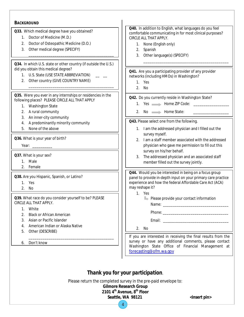#### **BACKGROUND Q33.** Which medical degree have you obtained? 1. Doctor of Medicine (M.D.) 2. Doctor of Osteopathic Medicine (D.O.) 3. Other medical degree (SPECIFY) \_\_\_\_\_\_\_\_\_\_\_\_\_\_\_\_\_\_\_\_\_\_\_\_\_\_\_\_\_\_\_\_\_\_\_\_\_\_\_\_\_\_\_ **Q34.** In which U.S. state or other country (if outside the U.S.) did you obtain this medical degree? 1. U.S. State (USE STATE ABBREVIATION) 2. Other country (GIVE COUNTRY NAME) \_\_\_\_\_\_\_\_\_\_\_\_\_\_\_\_\_\_\_\_\_\_\_\_\_\_\_\_\_\_\_\_\_\_\_\_\_\_\_\_\_\_\_ **Q35.** Were you ever in any internships or residencies in the following places? PLEASE CIRCLE ALL THAT APPLY 1. Washington State 2. A rural community 3. An inner-city community 4. A predominantly minority community 5. None of the above **Q36.** What is your year of birth? Year: **Q37.** What is your sex? 1. Male 2. Female **Q38.** Are you Hispanic, Spanish, or Latino? 1. Yes 2. No **Q39.** What race do you consider yourself to be? PLEASE CIRCLE ALL THAT APPLY. 1. White 2. Black or African American 3. Asian or Pacific Islander 4. American Indian or Alaska Native 5. Other (DESCRIBE) \_\_\_\_\_\_\_\_\_\_\_\_\_\_\_\_\_\_\_\_\_\_\_\_\_\_\_\_\_\_\_\_\_\_\_\_\_\_\_\_\_\_\_ 6. Don't know **Q40.** In addition to English, what languages do you feel comfortable communicating in for most clinical purposes? CIRCLE ALL THAT APPLY. 1. None (English only) 2. Spanish 3. Other language(s) (SPECIFY) \_\_\_\_\_\_\_\_\_\_\_\_\_\_\_\_\_\_\_\_\_\_\_\_\_\_\_\_\_\_\_\_\_\_\_\_\_\_\_\_\_\_\_ **Q41.** Are you a participating provider of any provider networks (including HMOs) in Washington? 1. Yes 2. No **Q42.** Do you currently reside in Washington State? 1. Yes Home ZIP Code: 2. No Home State: **Q43.** Please select one from the following. 1. I am the addressed physician and I filled out the survey myself. 2. I am a staff member associated with the addressed physician who gave me permission to fill out this survey on his/her behalf. 3. The addressed physician and an associated staff member filled out the survey jointly. **Q44.** Would you be interested in being on a focus group panel to provide in-depth input on your primary care practice experience and how the federal Affordable Care Act (ACA) may reshape it? 1. Yes  $\blacktriangleright$  Please provide your contact information Name: \_\_\_\_\_\_\_\_\_\_\_\_\_\_\_\_\_\_\_\_\_\_\_\_\_\_\_\_\_\_\_\_\_ Phone: \_\_\_\_\_\_\_\_\_\_\_\_\_\_\_\_\_\_\_\_\_\_\_\_\_\_\_\_\_\_\_\_\_ Email: \_\_\_\_\_\_\_\_\_\_\_\_\_\_\_\_\_\_\_\_\_\_\_\_\_\_\_\_\_\_\_\_\_ 2. No If you are interested in receiving the final results from the survey or have any additional comments, please contact Washington State Office of Financial Management at [forecasting@ofm.wa.gov](mailto:forecasting@ofm.wa.gov)

# *Thank you for your participation*.

Please return the completed survey in the pre-paid envelope to:

4

**Gilmore Research Group 2101 4th Avenue, 8th Floor**

Seattle, WA 98121 <insert pin>